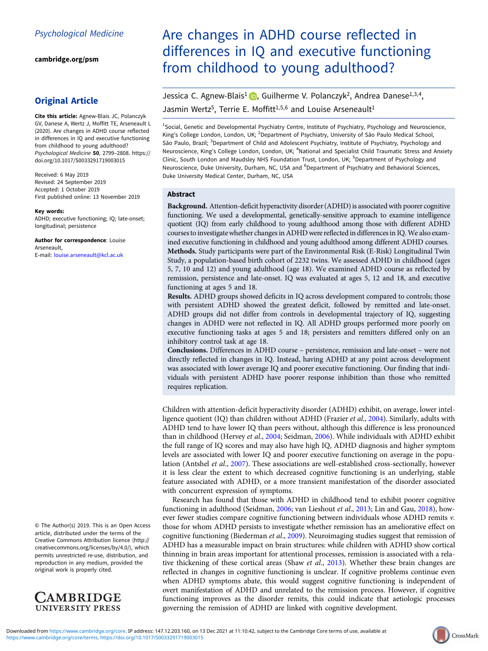[cambridge.org/psm](https://www.cambridge.org/psm)

# Original Article

Cite this article: Agnew-Blais JC, Polanczyk GV, Danese A, Wertz J, Moffitt TE, Arseneault L (2020). Are changes in ADHD course reflected in differences in IQ and executive functioning from childhood to young adulthood? Psychological Medicine 50, 2799–2808. [https://](https://doi.org/10.1017/S0033291719003015) [doi.org/10.1017/S0033291719003015](https://doi.org/10.1017/S0033291719003015)

Received: 6 May 2019 Revised: 24 September 2019 Accepted: 1 October 2019 First published online: 13 November 2019

#### Key words:

ADHD; executive functioning; IQ; late-onset; longitudinal; persistence

Author for correspondence: Louise Arseneault, E-mail: [louise.arseneault@kcl.ac.uk](mailto:louise.arseneault@kcl.ac.uk)

© The Author(s) 2019. This is an Open Access article, distributed under the terms of the Creative Commons Attribution licence (http:// creativecommons.org/licenses/by/4.0/), which permits unrestricted re-use, distribution, and reproduction in any medium, provided the original work is properly cited.



# Are changes in ADHD course reflected in differences in IQ and executive functioning from childhood to young adulthood?

Jessica C. Agnew-Blais<sup>1</sup> (b)[,](https://orcid.org/0000-0002-0755-6867) Guilherme V. Polanczyk<sup>2</sup>, Andrea Danese<sup>1,3,4</sup>, Jasmin Wertz<sup>5</sup>, Terrie E. Moffitt<sup>1,5,6</sup> and Louise Arseneault<sup>1</sup>

<sup>1</sup>Social, Genetic and Developmental Psychiatry Centre, Institute of Psychiatry, Psychology and Neuroscience, King's College London, London, UK; <sup>2</sup>Department of Psychiatry, University of São Paulo Medical School, São Paulo, Brazil; <sup>3</sup>Department of Child and Adolescent Psychiatry, Institute of Psychiatry, Psychology and Neuroscience, King's College London, London, UK; <sup>4</sup>National and Specialist Child Traumatic Stress and Anxiety Clinic, South London and Maudsley NHS Foundation Trust, London, UK; <sup>5</sup>Department of Psychology and Neuroscience, Duke University, Durham, NC, USA and <sup>6</sup>Department of Psychiatry and Behavioral Sciences, Duke University Medical Center, Durham, NC, USA

## **Abstract**

Background. Attention-deficit hyperactivity disorder (ADHD) is associated with poorer cognitive functioning. We used a developmental, genetically-sensitive approach to examine intelligence quotient (IQ) from early childhood to young adulthood among those with different ADHD courses to investigatewhether changes in ADHD were reflected in differences in IQ.We also examined executive functioning in childhood and young adulthood among different ADHD courses. Methods. Study participants were part of the Environmental Risk (E-Risk) Longitudinal Twin Study, a population-based birth cohort of 2232 twins. We assessed ADHD in childhood (ages 5, 7, 10 and 12) and young adulthood (age 18). We examined ADHD course as reflected by remission, persistence and late-onset. IQ was evaluated at ages 5, 12 and 18, and executive functioning at ages 5 and 18.

Results. ADHD groups showed deficits in IQ across development compared to controls; those with persistent ADHD showed the greatest deficit, followed by remitted and late-onset. ADHD groups did not differ from controls in developmental trajectory of IQ, suggesting changes in ADHD were not reflected in IQ. All ADHD groups performed more poorly on executive functioning tasks at ages 5 and 18; persisters and remitters differed only on an inhibitory control task at age 18.

Conclusions. Differences in ADHD course – persistence, remission and late-onset – were not directly reflected in changes in IQ. Instead, having ADHD at any point across development was associated with lower average IQ and poorer executive functioning. Our finding that individuals with persistent ADHD have poorer response inhibition than those who remitted requires replication.

Children with attention-deficit hyperactivity disorder (ADHD) exhibit, on average, lower intel-ligence quotient (IQ) than children without ADHD (Frazier et al., [2004\)](#page-8-0). Similarly, adults with ADHD tend to have lower IQ than peers without, although this difference is less pronounced than in childhood (Hervey et al., [2004](#page-8-0); Seidman, [2006\)](#page-9-0). While individuals with ADHD exhibit the full range of IQ scores and may also have high IQ, ADHD diagnosis and higher symptom levels are associated with lower IQ and poorer executive functioning on average in the population (Antshel *et al.*, [2007\)](#page-8-0). These associations are well-established cross-sectionally, however it is less clear the extent to which decreased cognitive functioning is an underlying, stable feature associated with ADHD, or a more transient manifestation of the disorder associated with concurrent expression of symptoms.

Research has found that those with ADHD in childhood tend to exhibit poorer cognitive functioning in adulthood (Seidman, [2006;](#page-9-0) van Lieshout et al., [2013;](#page-9-0) Lin and Gau, [2018](#page-9-0)), however fewer studies compare cognitive functioning between individuals whose ADHD remits v. those for whom ADHD persists to investigate whether remission has an ameliorative effect on cognitive functioning (Biederman *et al.*, [2009](#page-8-0)). Neuroimaging studies suggest that remission of ADHD has a measurable impact on brain structures: while children with ADHD show cortical thinning in brain areas important for attentional processes, remission is associated with a rela-tive thickening of these cortical areas (Shaw et al., [2013\)](#page-9-0). Whether these brain changes are reflected in changes in cognitive functioning is unclear. If cognitive problems continue even when ADHD symptoms abate, this would suggest cognitive functioning is independent of overt manifestation of ADHD and unrelated to the remission process. However, if cognitive functioning improves as the disorder remits, this could indicate that aetiologic processes governing the remission of ADHD are linked with cognitive development.

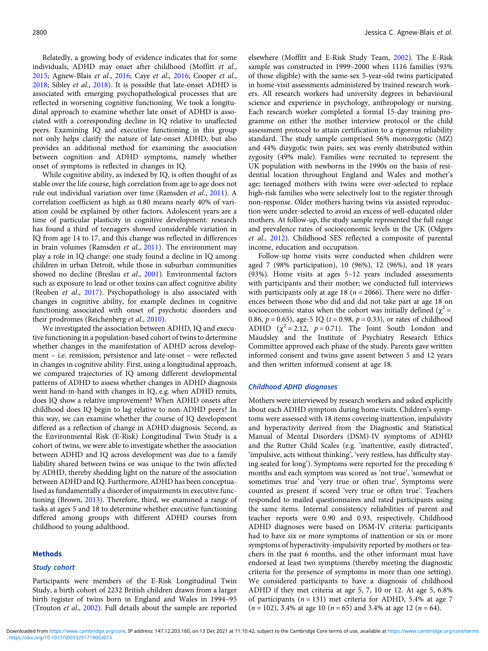Relatedly, a growing body of evidence indicates that for some individuals, ADHD may onset after childhood (Moffitt et al., [2015;](#page-9-0) Agnew-Blais et al., [2016;](#page-8-0) Caye et al., [2016](#page-8-0); Cooper et al., [2018;](#page-8-0) Sibley et al., [2018\)](#page-9-0). It is possible that late-onset ADHD is associated with emerging psychopathological processes that are reflected in worsening cognitive functioning. We took a longitudinal approach to examine whether late onset of ADHD is associated with a corresponding decline in IQ relative to unaffected peers. Examining IQ and executive functioning in this group not only helps clarify the nature of late-onset ADHD, but also provides an additional method for examining the association between cognition and ADHD symptoms, namely whether onset of symptoms is reflected in changes in IQ.

While cognitive ability, as indexed by IQ, is often thought of as stable over the life course, high correlation from age to age does not rule out individual variation over time (Ramsden et al., [2011](#page-9-0)). A correlation coefficient as high as 0.80 means nearly 40% of variation could be explained by other factors. Adolescent years are a time of particular plasticity in cognitive development: research has found a third of teenagers showed considerable variation in IQ from age 14 to 17, and this change was reflected in differences in brain volumes (Ramsden *et al.*, [2011\)](#page-9-0). The environment may play a role in IQ change: one study found a decline in IQ among children in urban Detroit, while those in suburban communities showed no decline (Breslau et al., [2001](#page-8-0)). Environmental factors such as exposure to lead or other toxins can affect cognitive ability (Reuben et al., [2017](#page-9-0)). Psychopathology is also associated with changes in cognitive ability, for example declines in cognitive functioning associated with onset of psychotic disorders and their prodromes (Reichenberg et al., [2010\)](#page-9-0).

We investigated the association between ADHD, IQ and executive functioning in a population-based cohort of twins to determine whether changes in the manifestation of ADHD across development – i.e. remission, persistence and late-onset – were reflected in changes in cognitive ability. First, using a longitudinal approach, we compared trajectories of IQ among different developmental patterns of ADHD to assess whether changes in ADHD diagnosis went hand-in-hand with changes in IQ, e.g. when ADHD remits, does IQ show a relative improvement? When ADHD onsets after childhood does IQ begin to lag relative to non-ADHD peers? In this way, we can examine whether the course of IQ development differed as a reflection of change in ADHD diagnosis. Second, as the Environmental Risk (E-Risk) Longitudinal Twin Study is a cohort of twins, we were able to investigate whether the association between ADHD and IQ across development was due to a family liability shared between twins or was unique to the twin affected by ADHD, thereby shedding light on the nature of the association between ADHD and IQ. Furthermore, ADHD has been conceptualised as fundamentally a disorder of impairments in executive functioning (Brown, [2013\)](#page-8-0). Therefore, third, we examined a range of tasks at ages 5 and 18 to determine whether executive functioning differed among groups with different ADHD courses from childhood to young adulthood.

# Methods

#### Study cohort

Participants were members of the E-Risk Longitudinal Twin Study, a birth cohort of 2232 British children drawn from a larger birth register of twins born in England and Wales in 1994–95 (Trouton et al., [2002\)](#page-9-0). Full details about the sample are reported

elsewhere (Moffitt and E-Risk Study Team, [2002\)](#page-9-0). The E-Risk sample was constructed in 1999–2000 when 1116 families (93% of those eligible) with the same-sex 5-year-old twins participated in home-visit assessments administered by trained research workers. All research workers had university degrees in behavioural science and experience in psychology, anthropology or nursing. Each research worker completed a formal 15-day training programme on either the mother interview protocol or the child assessment protocol to attain certification to a rigorous reliability standard. The study sample comprised 56% monozygotic (MZ) and 44% dizygotic twin pairs; sex was evenly distributed within zygosity (49% male). Families were recruited to represent the UK population with newborns in the 1990s on the basis of residential location throughout England and Wales and mother's age; teenaged mothers with twins were over-selected to replace high-risk families who were selectively lost to the register through non-response. Older mothers having twins via assisted reproduction were under-selected to avoid an excess of well-educated older mothers. At follow-up, the study sample represented the full range and prevalence rates of socioeconomic levels in the UK (Odgers et al., [2012](#page-9-0)). Childhood SES reflected a composite of parental income, education and occupation.

Follow-up home visits were conducted when children were aged 7 (98% participation), 10 (96%), 12 (96%), and 18 years (93%). Home visits at ages 5–12 years included assessments with participants and their mother; we conducted full interviews with participants only at age 18 ( $n = 2066$ ). There were no differences between those who did and did not take part at age 18 on socioeconomic status when the cohort was initially defined ( $\chi^2$  = 0.86,  $p = 0.65$ ), age-5 IQ ( $t = 0.98$ ,  $p = 0.33$ ), or rates of childhood ADHD  $(\chi^2 = 2.12, p = 0.71)$ . The Joint South London and Maudsley and the Institute of Psychiatry Research Ethics Committee approved each phase of the study. Parents gave written informed consent and twins gave assent between 5 and 12 years and then written informed consent at age 18.

#### Childhood ADHD diagnoses

Mothers were interviewed by research workers and asked explicitly about each ADHD symptom during home visits. Children's symptoms were assessed with 18 items covering inattention, impulsivity and hyperactivity derived from the Diagnostic and Statistical Manual of Mental Disorders (DSM)-IV symptoms of ADHD and the Rutter Child Scales (e.g. 'inattentive, easily distracted', 'impulsive, acts without thinking', 'very restless, has difficulty staying seated for long'). Symptoms were reported for the preceding 6 months and each symptom was scored as 'not true', 'somewhat or sometimes true' and 'very true or often true'. Symptoms were counted as present if scored 'very true or often true'. Teachers responded to mailed questionnaires and rated participants using the same items. Internal consistency reliabilities of parent and teacher reports were 0.90 and 0.93, respectively. Childhood ADHD diagnoses were based on DSM-IV criteria: participants had to have six or more symptoms of inattention or six or more symptoms of hyperactivity-impulsivity reported by mothers or teachers in the past 6 months, and the other informant must have endorsed at least two symptoms (thereby meeting the diagnostic criteria for the presence of symptoms in more than one setting). We considered participants to have a diagnosis of childhood ADHD if they met criteria at age 5, 7, 10 or 12. At age 5, 6.8% of participants ( $n = 131$ ) met criteria for ADHD, 5.4% at age 7  $(n = 102)$ , 3.4% at age 10  $(n = 65)$  and 3.4% at age 12  $(n = 64)$ .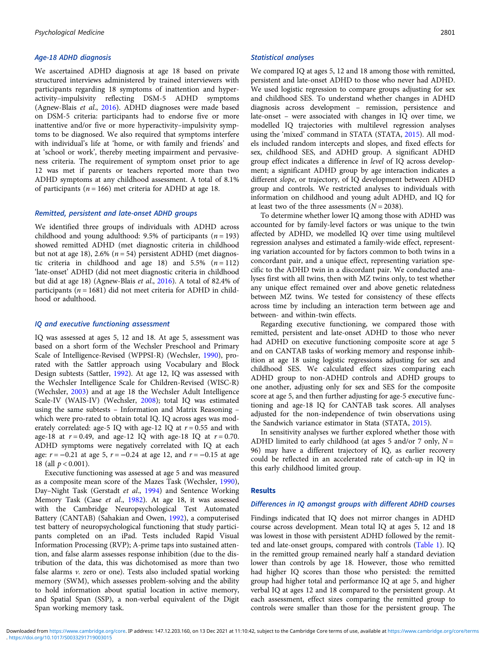#### Age-18 ADHD diagnosis

We ascertained ADHD diagnosis at age 18 based on private structured interviews administered by trained interviewers with participants regarding 18 symptoms of inattention and hyperactivity–impulsivity reflecting DSM-5 ADHD symptoms (Agnew-Blais et al., [2016\)](#page-8-0). ADHD diagnoses were made based on DSM-5 criteria: participants had to endorse five or more inattentive and/or five or more hyperactivity–impulsivity symptoms to be diagnosed. We also required that symptoms interfere with individual's life at 'home, or with family and friends' and at 'school or work', thereby meeting impairment and pervasiveness criteria. The requirement of symptom onset prior to age 12 was met if parents or teachers reported more than two ADHD symptoms at any childhood assessment. A total of 8.1% of participants ( $n = 166$ ) met criteria for ADHD at age 18.

# Remitted, persistent and late-onset ADHD groups

We identified three groups of individuals with ADHD across childhood and young adulthood: 9.5% of participants ( $n = 193$ ) showed remitted ADHD (met diagnostic criteria in childhood but not at age 18), 2.6% ( $n = 54$ ) persistent ADHD (met diagnostic criteria in childhood and age 18) and 5.5%  $(n = 112)$ 'late-onset' ADHD (did not meet diagnostic criteria in childhood but did at age 18) (Agnew-Blais et al., [2016](#page-8-0)). A total of 82.4% of participants ( $n = 1681$ ) did not meet criteria for ADHD in childhood or adulthood.

# IQ and executive functioning assessment

IQ was assessed at ages 5, 12 and 18. At age 5, assessment was based on a short form of the Wechsler Preschool and Primary Scale of Intelligence-Revised (WPPSI-R) (Wechsler, [1990](#page-9-0)), prorated with the Sattler approach using Vocabulary and Block Design subtests (Sattler, [1992\)](#page-9-0). At age 12, IQ was assessed with the Wechsler Intelligence Scale for Children-Revised (WISC-R) (Wechsler, [2003\)](#page-9-0) and at age 18 the Wechsler Adult Intelligence Scale-IV (WAIS-IV) (Wechsler, [2008](#page-9-0)); total IQ was estimated using the same subtests – Information and Matrix Reasoning – which were pro-rated to obtain total IQ. IQ across ages was moderately correlated: age-5 IQ with age-12 IQ at  $r = 0.55$  and with age-18 at  $r = 0.49$ , and age-12 IQ with age-18 IQ at  $r = 0.70$ . ADHD symptoms were negatively correlated with IQ at each age:  $r = -0.21$  at age 5,  $r = -0.24$  at age 12, and  $r = -0.15$  at age 18 (all  $p < 0.001$ ).

Executive functioning was assessed at age 5 and was measured as a composite mean score of the Mazes Task (Wechsler, [1990\)](#page-9-0), Day–Night Task (Gerstadt et al., [1994\)](#page-8-0) and Sentence Working Memory Task (Case et al., [1982](#page-8-0)). At age 18, it was assessed with the Cambridge Neuropsychological Test Automated Battery (CANTAB) (Sahakian and Owen, [1992](#page-9-0)), a computerised test battery of neuropsychological functioning that study participants completed on an iPad. Tests included Rapid Visual Information Processing (RVP); A-prime taps into sustained attention, and false alarm assesses response inhibition (due to the distribution of the data, this was dichotomised as more than two false alarms  $v$ . zero or one). Tests also included spatial working memory (SWM), which assesses problem-solving and the ability to hold information about spatial location in active memory, and Spatial Span (SSP), a non-verbal equivalent of the Digit Span working memory task.

#### Statistical analyses

We compared IQ at ages 5, 12 and 18 among those with remitted, persistent and late-onset ADHD to those who never had ADHD. We used logistic regression to compare groups adjusting for sex and childhood SES. To understand whether changes in ADHD diagnosis across development – remission, persistence and late-onset – were associated with changes in IQ over time, we modelled IQ trajectories with multilevel regression analyses using the 'mixed' command in STATA (STATA, [2015](#page-9-0)). All models included random intercepts and slopes, and fixed effects for sex, childhood SES, and ADHD group. A significant ADHD group effect indicates a difference in level of IQ across development; a significant ADHD group by age interaction indicates a different slope, or trajectory, of IQ development between ADHD group and controls. We restricted analyses to individuals with information on childhood and young adult ADHD, and IQ for at least two of the three assessments  $(N = 2038)$ .

To determine whether lower IQ among those with ADHD was accounted for by family-level factors or was unique to the twin affected by ADHD, we modelled IQ over time using multilevel regression analyses and estimated a family-wide effect, representing variation accounted for by factors common to both twins in a concordant pair, and a unique effect, representing variation specific to the ADHD twin in a discordant pair. We conducted analyses first with all twins, then with MZ twins only, to test whether any unique effect remained over and above genetic relatedness between MZ twins. We tested for consistency of these effects across time by including an interaction term between age and between- and within-twin effects.

Regarding executive functioning, we compared those with remitted, persistent and late-onset ADHD to those who never had ADHD on executive functioning composite score at age 5 and on CANTAB tasks of working memory and response inhibition at age 18 using logistic regressions adjusting for sex and childhood SES. We calculated effect sizes comparing each ADHD group to non-ADHD controls and ADHD groups to one another, adjusting only for sex and SES for the composite score at age 5, and then further adjusting for age-5 executive functioning and age-18 IQ for CANTAB task scores. All analyses adjusted for the non-independence of twin observations using the Sandwich variance estimator in Stata (STATA, [2015\)](#page-9-0).

In sensitivity analyses we further explored whether those with ADHD limited to early childhood (at ages 5 and/or 7 only,  $N =$ 96) may have a different trajectory of IQ, as earlier recovery could be reflected in an accelerated rate of catch-up in IQ in this early childhood limited group.

#### Results

# Differences in IQ amongst groups with different ADHD courses

Findings indicated that IQ does not mirror changes in ADHD course across development. Mean total IQ at ages 5, 12 and 18 was lowest in those with persistent ADHD followed by the remitted and late-onset groups, compared with controls [\(Table 1\)](#page-3-0). IQ in the remitted group remained nearly half a standard deviation lower than controls by age 18. However, those who remitted had higher IQ scores than those who persisted: the remitted group had higher total and performance IQ at age 5, and higher verbal IQ at ages 12 and 18 compared to the persistent group. At each assessment, effect sizes comparing the remitted group to controls were smaller than those for the persistent group. The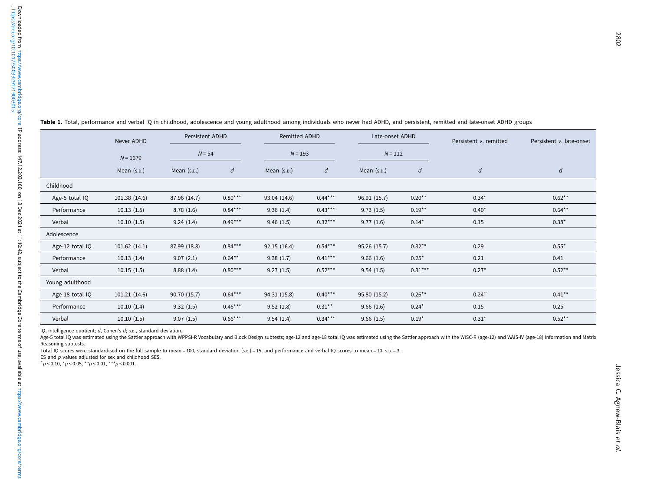|                 | Persistent ADHD<br>Never ADHD |               |           | Remitted ADHD |           | Late-onset ADHD | Persistent v. remitted | Persistent v. late-onset |           |
|-----------------|-------------------------------|---------------|-----------|---------------|-----------|-----------------|------------------------|--------------------------|-----------|
|                 | $N = 1679$                    | $N = 54$      |           | $N = 193$     |           | $N = 112$       |                        |                          |           |
|                 | Mean (s.p.)                   | Mean $(s.p.)$ | d         | Mean $(s.p.)$ | d         | Mean $(s.p.)$   | d                      | d                        | d         |
| Childhood       |                               |               |           |               |           |                 |                        |                          |           |
| Age-5 total IQ  | 101.38 (14.6)                 | 87.96 (14.7)  | $0.80***$ | 93.04 (14.6)  | $0.44***$ | 96.91 (15.7)    | $0.20**$               | $0.34*$                  | $0.62***$ |
| Performance     | 10.13(1.5)                    | 8.78(1.6)     | $0.84***$ | 9.36(1.4)     | $0.43***$ | 9.73(1.5)       | $0.19**$               | $0.40*$                  | $0.64***$ |
| Verbal          | 10.10(1.5)                    | 9.24(1.4)     | $0.49***$ | 9.46(1.5)     | $0.32***$ | 9.77(1.6)       | $0.14*$                | 0.15                     | $0.38*$   |
| Adolescence     |                               |               |           |               |           |                 |                        |                          |           |
| Age-12 total IQ | 101.62(14.1)                  | 87.99 (18.3)  | $0.84***$ | 92.15(16.4)   | $0.54***$ | 95.26 (15.7)    | $0.32**$               | 0.29                     | $0.55*$   |
| Performance     | 10.13(1.4)                    | 9.07(2.1)     | $0.64***$ | 9.38(1.7)     | $0.41***$ | 9.66(1.6)       | $0.25*$                | 0.21                     | 0.41      |
| Verbal          | 10.15(1.5)                    | 8.88(1.4)     | $0.80***$ | 9.27(1.5)     | $0.52***$ | 9.54(1.5)       | $0.31***$              | $0.27*$                  | $0.52***$ |
| Young adulthood |                               |               |           |               |           |                 |                        |                          |           |
| Age-18 total IQ | 101.21(14.6)                  | 90.70 (15.7)  | $0.64***$ | 94.31 (15.8)  | $0.40***$ | 95.80 (15.2)    | $0.26***$              | $0.24^{\sim}$            | $0.41***$ |
| Performance     | 10.10(1.4)                    | 9.32(1.5)     | $0.46***$ | 9.52(1.8)     | $0.31***$ | 9.66(1.6)       | $0.24*$                | 0.15                     | 0.25      |
| Verbal          | 10.10(1.5)                    | 9.07(1.5)     | $0.66***$ | 9.54(1.4)     | $0.34***$ | 9.66(1.5)       | $0.19*$                | $0.31*$                  | $0.52***$ |

<span id="page-3-0"></span>Table 1. Total, performance and verbal IQ in childhood, adolescence and young adulthood among individuals who never had ADHD, and persistent, remitted and late-onset ADHD groups

IQ, intelligence quotient;  $d$ , Cohen's  $d$ ; s.p., standard deviation.

Age-5 total IQ was estimated using the Sattler approach with WPPSI-R Vocabulary and Block Design subtests; age-12 and age-18 total IQ was estimated using the Sattler approach with the WISC-R (age-12) and WAIS-IV (age-18) I Reasoning subtests.

Total IQ scores were standardised on the full sample to mean = 100, standard deviation (s.b.) = 15, and performance and verbal IQ scores to mean = 10, s.b. = 3.

ES and p values adjusted for sex and childhood SES.

 $\gamma p$  < 0.10, \* $p$  < 0.05, \*\* $p$  < 0.01, \*\*\* $p$  < 0.001.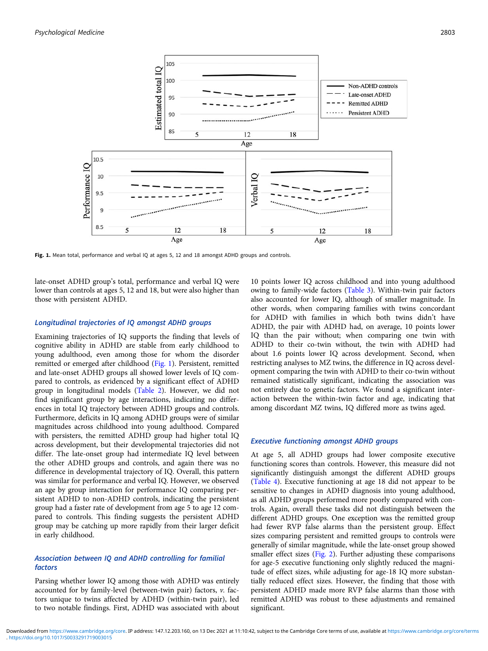

Fig. 1. Mean total, performance and verbal IQ at ages 5, 12 and 18 amongst ADHD groups and controls.

late-onset ADHD group's total, performance and verbal IQ were lower than controls at ages 5, 12 and 18, but were also higher than those with persistent ADHD.

# Longitudinal trajectories of IQ amongst ADHD groups

Examining trajectories of IQ supports the finding that levels of cognitive ability in ADHD are stable from early childhood to young adulthood, even among those for whom the disorder remitted or emerged after childhood (Fig. 1). Persistent, remitted and late-onset ADHD groups all showed lower levels of IQ compared to controls, as evidenced by a significant effect of ADHD group in longitudinal models [\(Table 2](#page-5-0)). However, we did not find significant group by age interactions, indicating no differences in total IQ trajectory between ADHD groups and controls. Furthermore, deficits in IQ among ADHD groups were of similar magnitudes across childhood into young adulthood. Compared with persisters, the remitted ADHD group had higher total IQ across development, but their developmental trajectories did not differ. The late-onset group had intermediate IQ level between the other ADHD groups and controls, and again there was no difference in developmental trajectory of IQ. Overall, this pattern was similar for performance and verbal IQ. However, we observed an age by group interaction for performance IQ comparing persistent ADHD to non-ADHD controls, indicating the persistent group had a faster rate of development from age 5 to age 12 compared to controls. This finding suggests the persistent ADHD group may be catching up more rapidly from their larger deficit in early childhood.

# Association between IQ and ADHD controlling for familial factors

Parsing whether lower IQ among those with ADHD was entirely accounted for by family-level (between-twin pair) factors,  $v$ . factors unique to twins affected by ADHD (within-twin pair), led to two notable findings. First, ADHD was associated with about

10 points lower IQ across childhood and into young adulthood owing to family-wide factors ([Table 3\)](#page-6-0). Within-twin pair factors also accounted for lower IQ, although of smaller magnitude. In other words, when comparing families with twins concordant for ADHD with families in which both twins didn't have ADHD, the pair with ADHD had, on average, 10 points lower IQ than the pair without; when comparing one twin with ADHD to their co-twin without, the twin with ADHD had about 1.6 points lower IQ across development. Second, when restricting analyses to MZ twins, the difference in IQ across development comparing the twin with ADHD to their co-twin without remained statistically significant, indicating the association was not entirely due to genetic factors. We found a significant interaction between the within-twin factor and age, indicating that among discordant MZ twins, IQ differed more as twins aged.

#### Executive functioning amongst ADHD groups

At age 5, all ADHD groups had lower composite executive functioning scores than controls. However, this measure did not significantly distinguish amongst the different ADHD groups [\(Table 4](#page-6-0)). Executive functioning at age 18 did not appear to be sensitive to changes in ADHD diagnosis into young adulthood, as all ADHD groups performed more poorly compared with controls. Again, overall these tasks did not distinguish between the different ADHD groups. One exception was the remitted group had fewer RVP false alarms than the persistent group. Effect sizes comparing persistent and remitted groups to controls were generally of similar magnitude, while the late-onset group showed smaller effect sizes [\(Fig. 2](#page-7-0)). Further adjusting these comparisons for age-5 executive functioning only slightly reduced the magnitude of effect sizes, while adjusting for age-18 IQ more substantially reduced effect sizes. However, the finding that those with persistent ADHD made more RVP false alarms than those with remitted ADHD was robust to these adjustments and remained significant.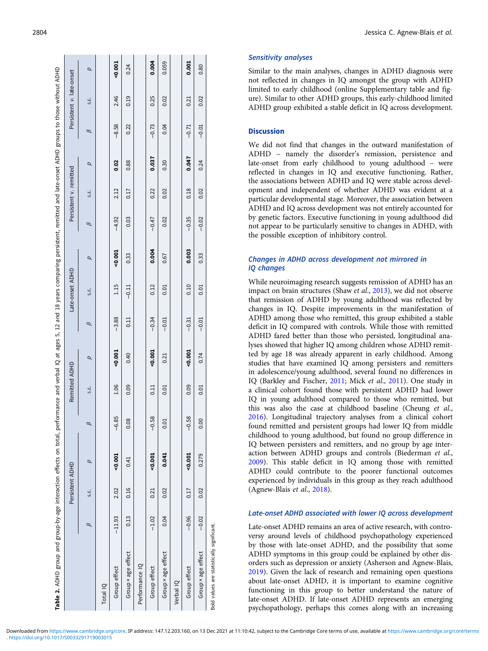<span id="page-5-0"></span>

| Table 2. ADHD group and group-by-age interaction effects on total, performance and verbal IQ at ages 5, 12 and 18 years comparing persistent, remitted and late-onset ADHD groups to those without ADHD |               |                 |          |               |               |          |         |                 |          |         |                        |       |         |                          |          |
|---------------------------------------------------------------------------------------------------------------------------------------------------------------------------------------------------------|---------------|-----------------|----------|---------------|---------------|----------|---------|-----------------|----------|---------|------------------------|-------|---------|--------------------------|----------|
|                                                                                                                                                                                                         |               | Persistent ADHD |          |               | Remitted ADHD |          |         | Late-onset ADHD |          |         | Persistent v. remitted |       |         | Persistent v. late-onset |          |
|                                                                                                                                                                                                         | $\mathcal{B}$ | S.E.            | p        |               | S.E.          | p        | $\beta$ | S.E.            | p        | $\beta$ | S.E.                   | p     | $\beta$ | S.E.                     | p        |
| Total IQ                                                                                                                                                                                                |               |                 |          |               |               |          |         |                 |          |         |                        |       |         |                          |          |
| Group effect                                                                                                                                                                                            | $-11.93$      | 2.02            | $-0.001$ | $-6.85$       | 1.06          | 5001     | $-3.88$ | 1.15            | $-0.001$ | $-4.92$ | 2.12                   | 0.02  | $-8.58$ | 2.46                     | $-0.001$ |
| Group × age effect                                                                                                                                                                                      | 0.13          | 0.16            | 0.41     | 0.08          | 0.09          | 0.40     | 0.11    | $-0.11$         | 0.33     | 0.03    | 0.17                   | 0.88  | 0.22    | 0.19                     | 0.24     |
| Performance IQ                                                                                                                                                                                          |               |                 |          |               |               |          |         |                 |          |         |                        |       |         |                          |          |
| Group effect                                                                                                                                                                                            | $-1.02$       | 0.21            | $-0.001$ | $-0.58$       | 0.11          | $-0.001$ | $-0.34$ | 0.12            | 0.004    | $-0.47$ | 0.22                   | 0.037 | $-0.73$ | 0.25                     | 0.004    |
| Group × age effect                                                                                                                                                                                      | 0.04          | 0.02            | 0.041    | $\frac{0}{2}$ | 0.01          | 0.21     | $-0.01$ | 0.01            | 0.67     | 0.02    | 0.02                   | 0.30  | 0.04    | 0.02                     | 0.059    |
| Verbal IQ                                                                                                                                                                                               |               |                 |          |               |               |          |         |                 |          |         |                        |       |         |                          |          |
| Group effect                                                                                                                                                                                            | $-0.96$       | 0.17            | $-0.001$ | $-0.58$       | 0.09          | $-0.001$ | $-0.31$ | 0.10            | 0.003    | $-0.35$ | 0.18                   | 0.047 | $-0.71$ | 0.21                     | 0.001    |
| Group × age effect                                                                                                                                                                                      | $-0.02$       | 0.02            | 0.279    | 0.00          | 0.01          | 0.74     | $-0.01$ | 0.01            | 0.33     | $-0.02$ | 0.02                   | 0.24  | $-0.01$ | 0.02                     | 0.80     |
| Bold values are statistically significant.                                                                                                                                                              |               |                 |          |               |               |          |         |                 |          |         |                        |       |         |                          |          |

#### Sensitivity analyses

Similar to the main analyses, changes in ADHD diagnosis were not reflected in changes in IQ amongst the group with ADHD limited to early childhood (online Supplementary table and figure). Similar to other ADHD groups, this early-childhood limited ADHD group exhibited a stable deficit in IQ across development.

# **Discussion**

We did not find that changes in the outward manifestation of ADHD – namely the disorder's remission, persistence and late-onset from early childhood to young adulthood – were reflected in changes in IQ and executive functioning. Rather, the associations between ADHD and IQ were stable across development and independent of whether ADHD was evident at a particular developmental stage. Moreover, the association between ADHD and IQ across development was not entirely accounted for by genetic factors. Executive functioning in young adulthood did not appear to be particularly sensitive to changes in ADHD, with the possible exception of inhibitory control.

# Changes in ADHD across development not mirrored in IQ changes

While neuroimaging research suggests remission of ADHD has an impact on brain structures (Shaw et al., [2013](#page-9-0)), we did not observe that remission of ADHD by young adulthood was reflected by changes in IQ. Despite improvements in the manifestation of ADHD among those who remitted, this group exhibited a stable deficit in IQ compared with controls. While those with remitted ADHD fared better than those who persisted, longitudinal analyses showed that higher IQ among children whose ADHD remitted by age 18 was already apparent in early childhood. Among studies that have examined IQ among persisters and remitters in adolescence/young adulthood, several found no differences in IQ (Barkley and Fischer, [2011](#page-8-0); Mick et al., [2011\)](#page-9-0). One study in a clinical cohort found those with persistent ADHD had lower IQ in young adulthood compared to those who remitted, but this was also the case at childhood baseline (Cheung et al., [2016\)](#page-8-0). Longitudinal trajectory analyses from a clinical cohort found remitted and persistent groups had lower IQ from middle childhood to young adulthood, but found no group difference in IQ between persisters and remitters, and no group by age interaction between ADHD groups and controls (Biederman et al., [2009\)](#page-8-0). This stable deficit in IQ among those with remitted ADHD could contribute to the poorer functional outcomes experienced by individuals in this group as they reach adulthood (Agnew-Blais et al., [2018\)](#page-8-0).

# Late-onset ADHD associated with lower IQ across development

Late-onset ADHD remains an area of active research, with controversy around levels of childhood psychopathology experienced by those with late-onset ADHD, and the possibility that some ADHD symptoms in this group could be explained by other disorders such as depression or anxiety (Asherson and Agnew-Blais, [2019\)](#page-8-0). Given the lack of research and remaining open questions about late-onset ADHD, it is important to examine cognitive functioning in this group to better understand the nature of late-onset ADHD. If late-onset ADHD represents an emerging psychopathology, perhaps this comes along with an increasing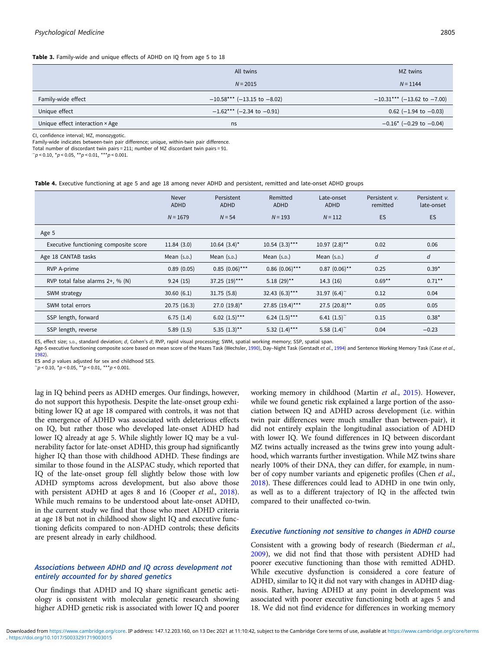#### <span id="page-6-0"></span>Table 3. Family-wide and unique effects of ADHD on IO from age 5 to 18

|                                 | All twins                     | MZ twins                      |
|---------------------------------|-------------------------------|-------------------------------|
|                                 | $N = 2015$                    | $N = 1144$                    |
| Family-wide effect              | $-10.58***$ (-13.15 to -8.02) | $-10.31***$ (-13.62 to -7.00) |
| Unique effect                   | $-1.62***$ (-2.34 to -0.91)   | $0.62$ (-1.94 to -0.03)       |
| Unique effect interaction × Age | ns                            | $-0.16$ * (-0.29 to $-0.04$ ) |

CI, confidence interval; MZ, monozygotic.

Family-wide indicates between-twin pair difference; unique, within-twin pair difference.

Total number of discordant twin pairs = 211; number of MZ discordant twin pairs = 91.

 $\tilde{p}$  < 0.10,  $\gamma p$  < 0.05,  $\star \gamma p$  < 0.01,  $\star \star \gamma p$  < 0.001.

| Table 4. Executive functioning at age 5 and age 18 among never ADHD and persistent, remitted and late-onset ADHD groups |  |  |  |  |
|-------------------------------------------------------------------------------------------------------------------------|--|--|--|--|
|-------------------------------------------------------------------------------------------------------------------------|--|--|--|--|

|                                       | Never<br><b>ADHD</b> | Persistent<br><b>ADHD</b>  | Remitted<br><b>ADHD</b> | Late-onset<br><b>ADHD</b> | Persistent v.<br>remitted | Persistent v.<br>late-onset |
|---------------------------------------|----------------------|----------------------------|-------------------------|---------------------------|---------------------------|-----------------------------|
|                                       | $N = 1679$           | $N = 54$                   | $N = 193$               | $N = 112$                 | ES                        | ES                          |
| Age 5                                 |                      |                            |                         |                           |                           |                             |
| Executive functioning composite score | 11.84(3.0)           | $10.64$ (3.4) <sup>*</sup> | $10.54$ (3.3)***        | $10.97$ $(2.8)$ **        | 0.02                      | 0.06                        |
| Age 18 CANTAB tasks                   | Mean (s.p.)          | Mean (s.p.)                | Mean $(s.p.)$           | Mean $(s.p.)$             | d                         | d                           |
| RVP A-prime                           | 0.89(0.05)           | $0.85(0.06)***$            | $0.86$ $(0.06)$ ***     | $0.87$ (0.06)**           | 0.25                      | $0.39*$                     |
| RVP total false alarms $2+$ , % (N)   | 9.24(15)             | 37.25 (19)***              | $5.18(29)$ **           | 14.3(16)                  | $0.69***$                 | $0.71***$                   |
| SWM strategy                          | 30.60(6.1)           | 31.75(5.8)                 | $32.43(6.3)***$         | 31.97 $(6.4)$             | 0.12                      | 0.04                        |
| SWM total errors                      | 20.75(16.3)          | $27.0(19.8)$ *             | 27.85 (19.4)***         | 27.5 (20.8)**             | 0.05                      | 0.05                        |
| SSP length, forward                   | 6.75(1.4)            | 6.02 $(1.5)***$            | 6.24 $(1.5)***$         | 6.41 $(1.5)$ <sup>~</sup> | 0.15                      | $0.38*$                     |
| SSP length, reverse                   | 5.89(1.5)            | $5.35(1.3)$ **             | 5.32 $(1.4)***$         | 5.58 $(1.4)$              | 0.04                      | $-0.23$                     |

ES, effect size; s.D., standard deviation; d, Cohen's d; RVP, rapid visual processing; SWM, spatial working memory; SSP, spatial span.

Age-5 executive functioning composite score based on mean score of the Mazes Task (Wechsler, [1990\)](#page-9-0), Day-Night Task (Gerstadt et al., [1994\)](#page-8-0) and Sentence Working Memory Task (Case et al., [1982](#page-8-0)).

ES and *p* values adjusted for sex and childhood SES.  $\gamma p$  < 0.10, \**p* < 0.05, \**\*p* < 0.01, \*\**p* < 0.001.

lag in IQ behind peers as ADHD emerges. Our findings, however, do not support this hypothesis. Despite the late-onset group exhibiting lower IQ at age 18 compared with controls, it was not that the emergence of ADHD was associated with deleterious effects on IQ, but rather those who developed late-onset ADHD had lower IQ already at age 5. While slightly lower IQ may be a vulnerability factor for late-onset ADHD, this group had significantly higher IQ than those with childhood ADHD. These findings are similar to those found in the ALSPAC study, which reported that IQ of the late-onset group fell slightly below those with low ADHD symptoms across development, but also above those with persistent ADHD at ages 8 and 16 (Cooper *et al.*, [2018\)](#page-8-0). While much remains to be understood about late-onset ADHD, in the current study we find that those who meet ADHD criteria at age 18 but not in childhood show slight IQ and executive functioning deficits compared to non-ADHD controls; these deficits are present already in early childhood.

# Associations between ADHD and IQ across development not entirely accounted for by shared genetics

Our findings that ADHD and IQ share significant genetic aetiology is consistent with molecular genetic research showing higher ADHD genetic risk is associated with lower IQ and poorer working memory in childhood (Martin et al., [2015](#page-9-0)). However, while we found genetic risk explained a large portion of the association between IQ and ADHD across development (i.e. within twin pair differences were much smaller than between-pair), it did not entirely explain the longitudinal association of ADHD with lower IQ. We found differences in IQ between discordant MZ twins actually increased as the twins grew into young adulthood, which warrants further investigation. While MZ twins share nearly 100% of their DNA, they can differ, for example, in number of copy number variants and epigenetic profiles (Chen et al., [2018](#page-8-0)). These differences could lead to ADHD in one twin only, as well as to a different trajectory of IQ in the affected twin compared to their unaffected co-twin.

# Executive functioning not sensitive to changes in ADHD course

Consistent with a growing body of research (Biederman et al., [2009](#page-8-0)), we did not find that those with persistent ADHD had poorer executive functioning than those with remitted ADHD. While executive dysfunction is considered a core feature of ADHD, similar to IQ it did not vary with changes in ADHD diagnosis. Rather, having ADHD at any point in development was associated with poorer executive functioning both at ages 5 and 18. We did not find evidence for differences in working memory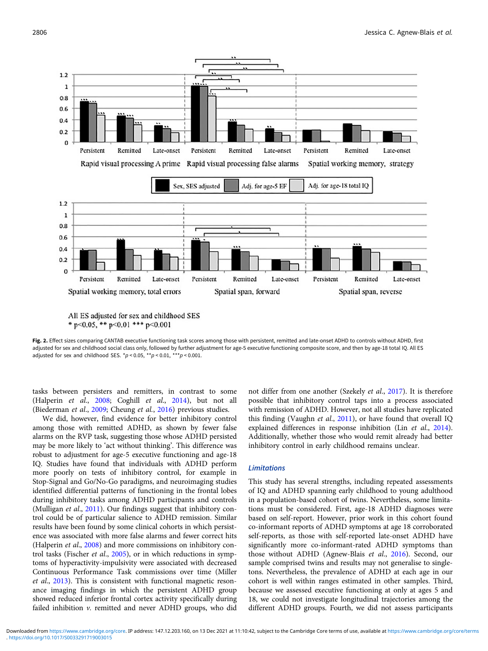<span id="page-7-0"></span>

All ES adjusted for sex and childhood SES \* p<0.05, \*\* p<0.01 \*\*\* p<0.001

Fig. 2. Effect sizes comparing CANTAB executive functioning task scores among those with persistent, remitted and late-onset ADHD to controls without ADHD, first adjusted for sex and childhood social class only, followed by further adjustment for age-5 executive functioning composite score, and then by age-18 total IQ. All ES adjusted for sex and childhood SES.  $\gamma > 0.05$ ,  $\gamma > 0.01$ ,  $\gamma > 0.001$ .

tasks between persisters and remitters, in contrast to some (Halperin et al., [2008](#page-8-0); Coghill et al., [2014](#page-8-0)), but not all (Biederman et al., [2009;](#page-8-0) Cheung et al., [2016](#page-8-0)) previous studies.

We did, however, find evidence for better inhibitory control among those with remitted ADHD, as shown by fewer false alarms on the RVP task, suggesting those whose ADHD persisted may be more likely to 'act without thinking'. This difference was robust to adjustment for age-5 executive functioning and age-18 IQ. Studies have found that individuals with ADHD perform more poorly on tests of inhibitory control, for example in Stop-Signal and Go/No-Go paradigms, and neuroimaging studies identified differential patterns of functioning in the frontal lobes during inhibitory tasks among ADHD participants and controls (Mulligan et al., [2011](#page-9-0)). Our findings suggest that inhibitory control could be of particular salience to ADHD remission. Similar results have been found by some clinical cohorts in which persistence was associated with more false alarms and fewer correct hits (Halperin et al., [2008\)](#page-8-0) and more commissions on inhibitory con-trol tasks (Fischer et al., [2005](#page-8-0)), or in which reductions in symptoms of hyperactivity-impulsivity were associated with decreased Continuous Performance Task commissions over time (Miller et al., [2013](#page-9-0)). This is consistent with functional magnetic resonance imaging findings in which the persistent ADHD group showed reduced inferior frontal cortex activity specifically during failed inhibition  $v$ . remitted and never ADHD groups, who did not differ from one another (Szekely et al., [2017\)](#page-9-0). It is therefore possible that inhibitory control taps into a process associated with remission of ADHD. However, not all studies have replicated this finding (Vaughn et al., [2011](#page-9-0)), or have found that overall IQ explained differences in response inhibition (Lin et al., [2014](#page-9-0)). Additionally, whether those who would remit already had better inhibitory control in early childhood remains unclear.

#### **Limitations**

This study has several strengths, including repeated assessments of IQ and ADHD spanning early childhood to young adulthood in a population-based cohort of twins. Nevertheless, some limitations must be considered. First, age-18 ADHD diagnoses were based on self-report. However, prior work in this cohort found co-informant reports of ADHD symptoms at age 18 corroborated self-reports, as those with self-reported late-onset ADHD have significantly more co-informant-rated ADHD symptoms than those without ADHD (Agnew-Blais et al., [2016](#page-8-0)). Second, our sample comprised twins and results may not generalise to singletons. Nevertheless, the prevalence of ADHD at each age in our cohort is well within ranges estimated in other samples. Third, because we assessed executive functioning at only at ages 5 and 18, we could not investigate longitudinal trajectories among the different ADHD groups. Fourth, we did not assess participants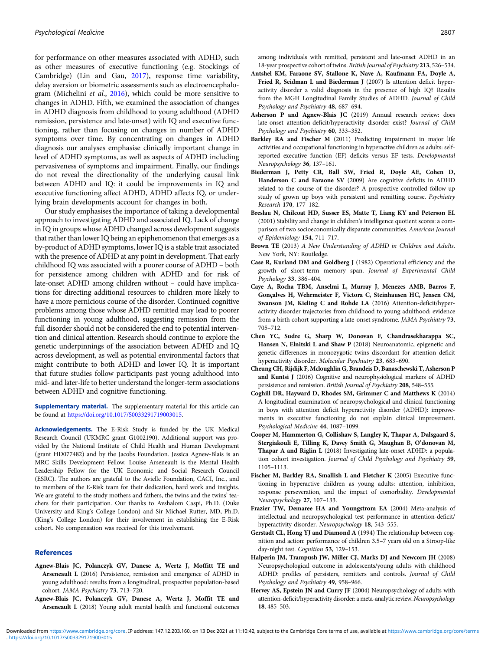<span id="page-8-0"></span>for performance on other measures associated with ADHD, such as other measures of executive functioning (e.g. Stockings of Cambridge) (Lin and Gau, [2017\)](#page-9-0), response time variability, delay aversion or biometric assessments such as electroencephalogram (Michelini et al., [2016](#page-9-0)), which could be more sensitive to changes in ADHD. Fifth, we examined the association of changes in ADHD diagnosis from childhood to young adulthood (ADHD remission, persistence and late-onset) with IQ and executive functioning, rather than focusing on changes in number of ADHD symptoms over time. By concentrating on changes in ADHD diagnosis our analyses emphasise clinically important change in level of ADHD symptoms, as well as aspects of ADHD including pervasiveness of symptoms and impairment. Finally, our findings do not reveal the directionality of the underlying causal link between ADHD and IQ: it could be improvements in IQ and executive functioning affect ADHD, ADHD affects IQ, or underlying brain developments account for changes in both.

Our study emphasises the importance of taking a developmental approach to investigating ADHD and associated IQ. Lack of change in IQ in groups whose ADHD changed across development suggests that rather than lower IQ being an epiphenomenon that emerges as a by-product of ADHD symptoms, lower IQ is a stable trait associated with the presence of ADHD at any point in development. That early childhood IQ was associated with a poorer course of ADHD – both for persistence among children with ADHD and for risk of late-onset ADHD among children without – could have implications for directing additional resources to children more likely to have a more pernicious course of the disorder. Continued cognitive problems among those whose ADHD remitted may lead to poorer functioning in young adulthood, suggesting remission from the full disorder should not be considered the end to potential intervention and clinical attention. Research should continue to explore the genetic underpinnings of the association between ADHD and IQ across development, as well as potential environmental factors that might contribute to both ADHD and lower IQ. It is important that future studies follow participants past young adulthood into mid- and later-life to better understand the longer-term associations between ADHD and cognitive functioning.

Supplementary material. The supplementary material for this article can be found at [https://doi.org/10.1017/S0033291719003015.](https://doi.org/10.1017/S0033291719003015)

Acknowledgements. The E-Risk Study is funded by the UK Medical Research Council (UKMRC grant G1002190). Additional support was provided by the National Institute of Child Health and Human Development (grant HD077482) and by the Jacobs Foundation. Jessica Agnew-Blais is an MRC Skills Development Fellow. Louise Arseneault is the Mental Health Leadership Fellow for the UK Economic and Social Research Council (ESRC). The authors are grateful to the Avielle Foundation, CACI, Inc., and to members of the E-Risk team for their dedication, hard work and insights. We are grateful to the study mothers and fathers, the twins and the twins' teachers for their participation. Our thanks to Avshalom Caspi, Ph.D. (Duke University and King's College London) and Sir Michael Rutter, MD, Ph.D. (King's College London) for their involvement in establishing the E-Risk cohort. No compensation was received for this involvement.

#### References

- Agnew-Blais JC, Polanczyk GV, Danese A, Wertz J, Moffitt TE and Arseneault L (2016) Persistence, remission and emergence of ADHD in young adulthood: results from a longitudinal, prospective population-based cohort. JAMA Psychiatry 73, 713–720.
- Agnew-Blais JC, Polanczyk GV, Danese A, Wertz J, Moffit TE and Arseneault L (2018) Young adult mental health and functional outcomes
- Antshel KM, Faraone SV, Stallone K, Nave A, Kaufmann FA, Doyle A, Fried R, Seidman L and Biederman J (2007) Is attention deficit hyperactivity disorder a valid diagnosis in the presence of high IQ? Results from the MGH Longitudinal Family Studies of ADHD. Journal of Child Psychology and Psychiatry 48, 687–694.
- Asherson P and Agnew-Blais JC (2019) Annual research review: does late-onset attention-deficit/hyperactivity disorder exist? Journal of Child Psychology and Psychiatry 60, 333–352.
- Barkley RA and Fischer M (2011) Predicting impairment in major life activities and occupational functioning in hyperactive children as adults: selfreported executive function (EF) deficits versus EF tests. Developmental Neuropsychology 36, 137–161.
- Biederman J, Petty CR, Ball SW, Fried R, Doyle AE, Cohen D, Handerson C and Faraone SV (2009) Are cognitive deficits in ADHD related to the course of the disorder? A prospective controlled follow-up study of grown up boys with persistent and remitting course. Psychiatry Research 170, 177–182.
- Breslau N, Chilcoat HD, Susser ES, Matte T, Liang KY and Peterson EL (2001) Stability and change in children's intelligence quotient scores: a comparison of two socioeconomically disparate communities. American Journal of Epidemiology 154, 711–717.
- Brown TE (2013) A New Understanding of ADHD in Children and Adults. New York, NY: Routledge.
- Case R, Kurland DM and Goldberg J (1982) Operational efficiency and the growth of short-term memory span. Journal of Experimental Child Psychology 33, 386–404.
- Caye A, Rocha TBM, Anselmi L, Murray J, Menezes AMB, Barros F, Gonçalves H, Wehrmeister F, Victora C, Steinhausen HC, Jensen CM, Swanson JM, Kieling C and Rohde LA (2016) Attention-deficit/hyperactivity disorder trajectories from childhood to young adulthood: evidence from a birth cohort supporting a late-onset syndrome. JAMA Psychiatry 73, 705–712.
- Chen YC, Sudre G, Sharp W, Donovan F, Chandrasekharappa SC, Hansen N, Elnitski L and Shaw P (2018) Neuroanatomic, epigenetic and genetic differences in monozygotic twins discordant for attention deficit hyperactivity disorder. Molecular Psychiatry 23, 683–690.
- Cheung CH, Rijdijk F, Mcloughlin G, Brandeis D, Banaschewski T, Asherson P and Kuntsi J (2016) Cognitive and neurophysiological markers of ADHD persistence and remission. British Journal of Psychiatry 208, 548-555.
- Coghill DR, Hayward D, Rhodes SM, Grimmer C and Matthews K (2014) A longitudinal examination of neuropsychological and clinical functioning in boys with attention deficit hyperactivity disorder (ADHD): improvements in executive functioning do not explain clinical improvement. Psychological Medicine 44, 1087–1099.
- Cooper M, Hammerton G, Collishaw S, Langley K, Thapar A, Dalsgaard S, Stergiakouli E, Tilling K, Davey Smith G, Maughan B, O'donovan M, Thapar A and Riglin L (2018) Investigating late-onset ADHD: a population cohort investigation. Journal of Child Psychology and Psychiatry 59, 1105–1113.
- Fischer M, Barkley RA, Smallish L and Fletcher K (2005) Executive functioning in hyperactive children as young adults: attention, inhibition, response perseveration, and the impact of comorbidity. Developmental Neuropsychology 27, 107–133.
- Frazier TW, Demaree HA and Youngstrom EA (2004) Meta-analysis of intellectual and neuropsychological test performance in attention-deficit/ hyperactivity disorder. Neuropsychology 18, 543-555.
- Gerstadt CL, Hong YJ and Diamond A (1994) The relationship between cognition and action: performance of children 3.5–7 years old on a Stroop-like day-night test. Cognition 53, 129–153.
- Halperin JM, Trampush JW, Miller CJ, Marks DJ and Newcorn JH (2008) Neuropsychological outcome in adolescents/young adults with childhood ADHD: profiles of persisters, remitters and controls. Journal of Child Psychology and Psychiatry 49, 958–966.
- Hervey AS, Epstein JN and Curry JF (2004) Neuropsychology of adults with attention-deficit/hyperactivity disorder: a meta-analytic review. Neuropsychology 18, 485–503.